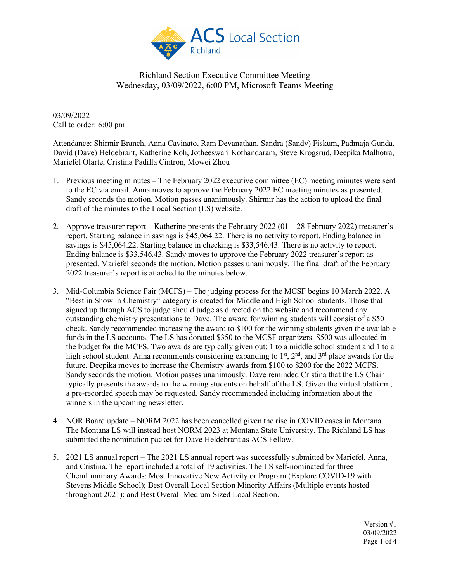

03/09/2022 Call to order: 6:00 pm

Attendance: Shirmir Branch, Anna Cavinato, Ram Devanathan, Sandra (Sandy) Fiskum, Padmaja Gunda, David (Dave) Heldebrant, Katherine Koh, Jotheeswari Kothandaram, Steve Krogsrud, Deepika Malhotra, Mariefel Olarte, Cristina Padilla Cintron, Mowei Zhou

- 1. Previous meeting minutes The February 2022 executive committee (EC) meeting minutes were sent to the EC via email. Anna moves to approve the February 2022 EC meeting minutes as presented. Sandy seconds the motion. Motion passes unanimously. Shirmir has the action to upload the final draft of the minutes to the Local Section (LS) website.
- 2. Approve treasurer report Katherine presents the February 2022 (01 28 February 2022) treasurer's report. Starting balance in savings is \$45,064.22. There is no activity to report. Ending balance in savings is \$45,064.22. Starting balance in checking is \$33,546.43. There is no activity to report. Ending balance is \$33,546.43. Sandy moves to approve the February 2022 treasurer's report as presented. Mariefel seconds the motion. Motion passes unanimously. The final draft of the February 2022 treasurer's report is attached to the minutes below.
- 3. Mid-Columbia Science Fair (MCFS) The judging process for the MCSF begins 10 March 2022. A "Best in Show in Chemistry" category is created for Middle and High School students. Those that signed up through ACS to judge should judge as directed on the website and recommend any outstanding chemistry presentations to Dave. The award for winning students will consist of a \$50 check. Sandy recommended increasing the award to \$100 for the winning students given the available funds in the LS accounts. The LS has donated \$350 to the MCSF organizers. \$500 was allocated in the budget for the MCFS. Two awards are typically given out: 1 to a middle school student and 1 to a high school student. Anna recommends considering expanding to  $1<sup>st</sup>$ ,  $2<sup>nd</sup>$ , and  $3<sup>rd</sup>$  place awards for the future. Deepika moves to increase the Chemistry awards from \$100 to \$200 for the 2022 MCFS. Sandy seconds the motion. Motion passes unanimously. Dave reminded Cristina that the LS Chair typically presents the awards to the winning students on behalf of the LS. Given the virtual platform, a pre-recorded speech may be requested. Sandy recommended including information about the winners in the upcoming newsletter.
- 4. NOR Board update NORM 2022 has been cancelled given the rise in COVID cases in Montana. The Montana LS will instead host NORM 2023 at Montana State University. The Richland LS has submitted the nomination packet for Dave Heldebrant as ACS Fellow.
- 5. 2021 LS annual report The 2021 LS annual report was successfully submitted by Mariefel, Anna, and Cristina. The report included a total of 19 activities. The LS self-nominated for three ChemLuminary Awards: Most Innovative New Activity or Program (Explore COVID-19 with Stevens Middle School); Best Overall Local Section Minority Affairs (Multiple events hosted throughout 2021); and Best Overall Medium Sized Local Section.

Version #1 03/09/2022 Page 1 of 4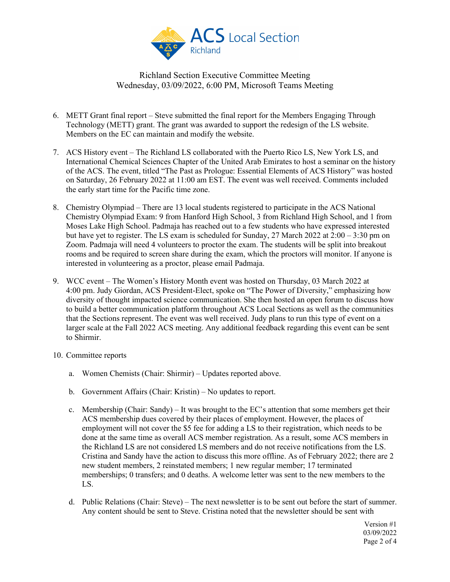

- 6. METT Grant final report Steve submitted the final report for the Members Engaging Through Technology (METT) grant. The grant was awarded to support the redesign of the LS website. Members on the EC can maintain and modify the website.
- 7. ACS History event The Richland LS collaborated with the Puerto Rico LS, New York LS, and International Chemical Sciences Chapter of the United Arab Emirates to host a seminar on the history of the ACS. The event, titled "The Past as Prologue: Essential Elements of ACS History" was hosted on Saturday, 26 February 2022 at 11:00 am EST. The event was well received. Comments included the early start time for the Pacific time zone.
- 8. Chemistry Olympiad There are 13 local students registered to participate in the ACS National Chemistry Olympiad Exam: 9 from Hanford High School, 3 from Richland High School, and 1 from Moses Lake High School. Padmaja has reached out to a few students who have expressed interested but have yet to register. The LS exam is scheduled for Sunday, 27 March 2022 at  $2:00 - 3:30$  pm on Zoom. Padmaja will need 4 volunteers to proctor the exam. The students will be split into breakout rooms and be required to screen share during the exam, which the proctors will monitor. If anyone is interested in volunteering as a proctor, please email Padmaja.
- 9. WCC event The Women's History Month event was hosted on Thursday, 03 March 2022 at 4:00 pm. Judy Giordan, ACS President-Elect, spoke on "The Power of Diversity," emphasizing how diversity of thought impacted science communication. She then hosted an open forum to discuss how to build a better communication platform throughout ACS Local Sections as well as the communities that the Sections represent. The event was well received. Judy plans to run this type of event on a larger scale at the Fall 2022 ACS meeting. Any additional feedback regarding this event can be sent to Shirmir.
- 10. Committee reports
	- a. Women Chemists (Chair: Shirmir) Updates reported above.
	- b. Government Affairs (Chair: Kristin) No updates to report.
	- c. Membership (Chair: Sandy) It was brought to the EC's attention that some members get their ACS membership dues covered by their places of employment. However, the places of employment will not cover the \$5 fee for adding a LS to their registration, which needs to be done at the same time as overall ACS member registration. As a result, some ACS members in the Richland LS are not considered LS members and do not receive notifications from the LS. Cristina and Sandy have the action to discuss this more offline. As of February 2022; there are 2 new student members, 2 reinstated members; 1 new regular member; 17 terminated memberships; 0 transfers; and 0 deaths. A welcome letter was sent to the new members to the LS.
	- d. Public Relations (Chair: Steve) The next newsletter is to be sent out before the start of summer. Any content should be sent to Steve. Cristina noted that the newsletter should be sent with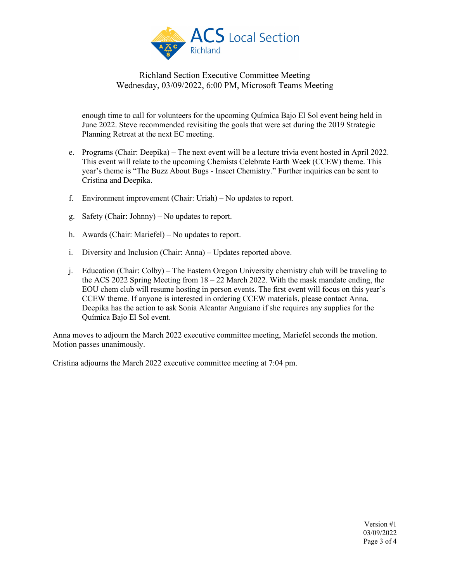

enough time to call for volunteers for the upcoming Química Bajo El Sol event being held in June 2022. Steve recommended revisiting the goals that were set during the 2019 Strategic Planning Retreat at the next EC meeting.

- e. Programs (Chair: Deepika) The next event will be a lecture trivia event hosted in April 2022. This event will relate to the upcoming Chemists Celebrate Earth Week (CCEW) theme. This year's theme is "The Buzz About Bugs - Insect Chemistry." Further inquiries can be sent to Cristina and Deepika.
- f. Environment improvement (Chair: Uriah) No updates to report.
- g. Safety (Chair: Johnny) No updates to report.
- h. Awards (Chair: Mariefel) No updates to report.
- i. Diversity and Inclusion (Chair: Anna) Updates reported above.
- j. Education (Chair: Colby) The Eastern Oregon University chemistry club will be traveling to the ACS 2022 Spring Meeting from  $18 - 22$  March 2022. With the mask mandate ending, the EOU chem club will resume hosting in person events. The first event will focus on this year's CCEW theme. If anyone is interested in ordering CCEW materials, please contact Anna. Deepika has the action to ask Sonia Alcantar Anguiano if she requires any supplies for the Química Bajo El Sol event.

Anna moves to adjourn the March 2022 executive committee meeting, Mariefel seconds the motion. Motion passes unanimously.

Cristina adjourns the March 2022 executive committee meeting at 7:04 pm.